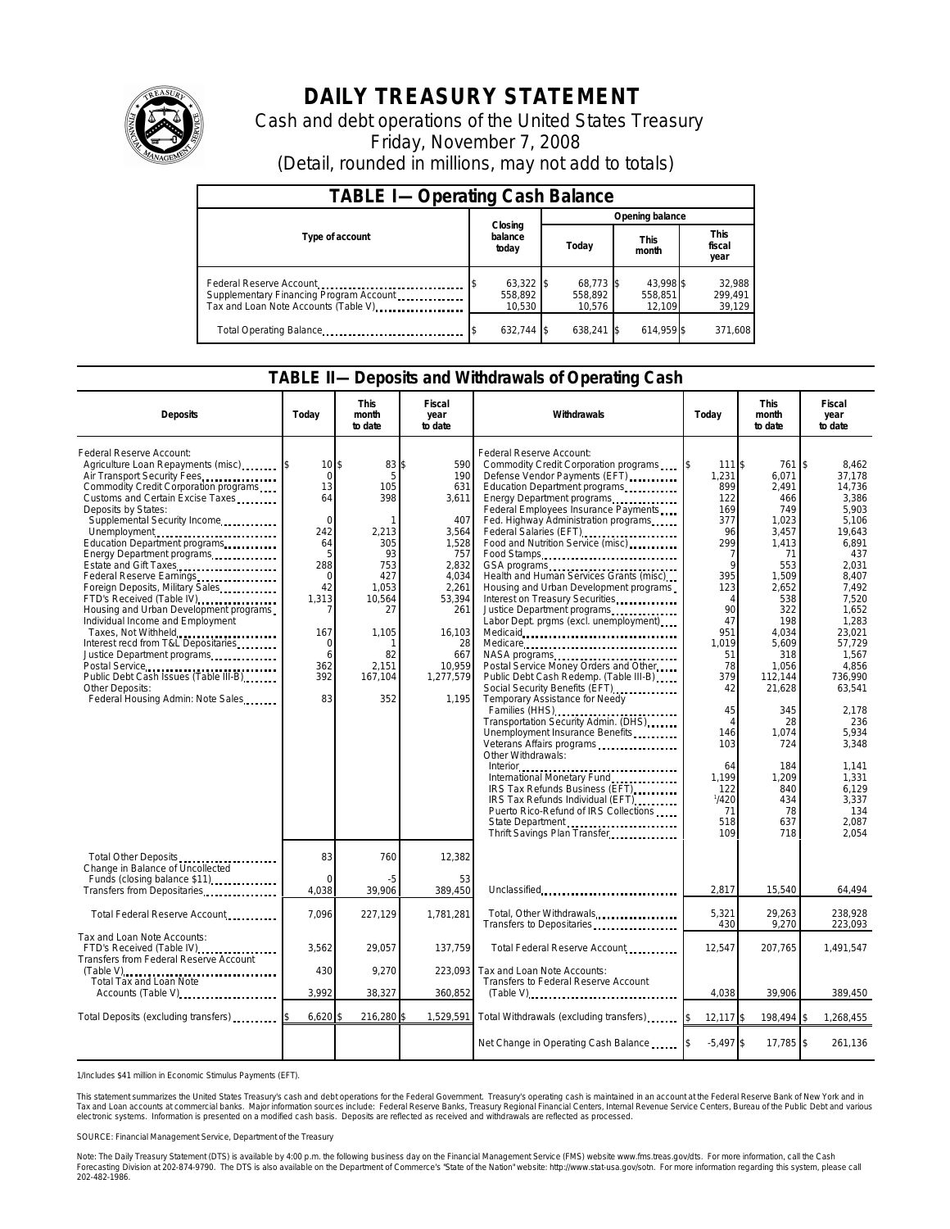

# **DAILY TREASURY STATEMENT**

Cash and debt operations of the United States Treasury Friday, November 7, 2008 (Detail, rounded in millions, may not add to totals)

| <b>TABLE I-Operating Cash Balance</b>                                                                      |                                  |                                |                                |                               |  |  |
|------------------------------------------------------------------------------------------------------------|----------------------------------|--------------------------------|--------------------------------|-------------------------------|--|--|
|                                                                                                            |                                  | Opening balance                |                                |                               |  |  |
| Type of account                                                                                            | Closing<br>balance<br>today      | This<br>Today<br>month         |                                | <b>This</b><br>fiscal<br>year |  |  |
| Federal Reserve Account<br>Supplementary Financing Program Account<br>Tax and Loan Note Accounts (Table V) | $63,322$ \$<br>558.892<br>10.530 | 68.773 \$<br>558.892<br>10.576 | 43.998 \$<br>558.851<br>12.109 | 32,988<br>299,491<br>39,129   |  |  |
| Total Operating Balance                                                                                    | 632.744 \$                       | 638.241 \$                     | 614.959 \$                     | 371.608                       |  |  |

#### **TABLE II—Deposits and Withdrawals of Operating Cash**

| <b>Deposits</b>                                                                                                                                                                                                                                                                                                                                                                                                                                                                                                                                                                                                                                                                                                                       | Todav                                                                                                                                              | <b>This</b><br>month<br>to date                                                                                                      | Fiscal<br>year<br>to date                                                                                                                                     | Withdrawals                                                                                                                                                                                                                                                                                                                                                                                                                                                                                                                                                                                                                                                                                                                                                                                                                                                                                                                                                                                                           | Today                                                                                                                                                                                                                                          | <b>This</b><br>month<br>to date                                                                                                                                                                                                                          | Fiscal<br>year<br>to date                                                                                                                                                                                                                                                                                         |
|---------------------------------------------------------------------------------------------------------------------------------------------------------------------------------------------------------------------------------------------------------------------------------------------------------------------------------------------------------------------------------------------------------------------------------------------------------------------------------------------------------------------------------------------------------------------------------------------------------------------------------------------------------------------------------------------------------------------------------------|----------------------------------------------------------------------------------------------------------------------------------------------------|--------------------------------------------------------------------------------------------------------------------------------------|---------------------------------------------------------------------------------------------------------------------------------------------------------------|-----------------------------------------------------------------------------------------------------------------------------------------------------------------------------------------------------------------------------------------------------------------------------------------------------------------------------------------------------------------------------------------------------------------------------------------------------------------------------------------------------------------------------------------------------------------------------------------------------------------------------------------------------------------------------------------------------------------------------------------------------------------------------------------------------------------------------------------------------------------------------------------------------------------------------------------------------------------------------------------------------------------------|------------------------------------------------------------------------------------------------------------------------------------------------------------------------------------------------------------------------------------------------|----------------------------------------------------------------------------------------------------------------------------------------------------------------------------------------------------------------------------------------------------------|-------------------------------------------------------------------------------------------------------------------------------------------------------------------------------------------------------------------------------------------------------------------------------------------------------------------|
| Federal Reserve Account:<br>Agriculture Loan Repayments (misc)<br>Air Transport Security Fees<br>Commodity Credit Corporation programs<br>Customs and Certain Excise Taxes<br>Deposits by States:<br>Supplemental Security Income<br>Unemployment<br>Education Department programs<br>Energy Department programs<br>Estate and Gift Taxes<br>Federal Reserve Earnings<br>Foreign Deposits, Military Sales<br>FTD's Received (Table IV)<br>Housing and Urban Development programs<br>Individual Income and Employment<br>Taxes, Not Withheld<br>Interest recd from T&L Depositaries<br>Justice Department programs.<br>Postal Service<br>Public Debt Cash Issues (Table III-B)<br>Other Deposits:<br>Federal Housing Admin: Note Sales | 10 <sup>5</sup><br>$\mathbf 0$<br>13<br>64<br>$\Omega$<br>242<br>64<br>5<br>288<br>$\mathbf 0$<br>42<br>1,313<br>167<br>0<br>6<br>362<br>392<br>83 | 83 \$<br>5<br>105<br>398<br>2,213<br>305<br>93<br>753<br>427<br>1,053<br>10,564<br>27<br>1.105<br>1<br>82<br>2.151<br>167,104<br>352 | 590<br>190<br>631<br>3,611<br>407<br>3,564<br>1,528<br>757<br>2,832<br>4,034<br>2,261<br>53,394<br>261<br>16,103<br>28<br>667<br>10,959<br>1,277,579<br>1.195 | Federal Reserve Account:<br>Commodity Credit Corporation programs<br>Defense Vendor Payments (EFT)<br>Education Department programs<br>Energy Department programs<br>Federal Employees Insurance Payments<br>Fed. Highway Administration programs<br>Federal Salaries (EFT)<br>Food and Nutrition Service (misc)<br>Food Stamps<br>Health and Human Services Grants (misc)<br>Housing and Urban Development programs<br>Interest on Treasury Securities<br>Justice Department programs<br>Labor Dept. prgms (excl. unemployment)<br>Medicare<br>NASA programs<br>Postal Service Money Orders and Other<br>Public Debt Cash Redemp. (Table III-B)<br>Social Security Benefits (EFT)<br>Temporary Assistance for Needy<br>Transportation Security Admin. (DHS)<br>Unemployment Insurance Benefits<br>Veterans Affairs programs<br>Other Withdrawals:<br>IRS Tax Refunds Business (EFT)<br>IRS Tax Refunds Individual (EFT)<br>Puerto Rico-Refund of IRS Collections<br>State Department<br>Thrift Savings Plan Transfer | 111 \$<br>1,231<br>899<br>122<br>169<br>377<br>96<br>299<br>7<br>$\mathsf{Q}$<br>395<br>123<br>4<br>90<br>47<br>951<br>1,019<br>51<br>78<br>379<br>42<br>45<br>$\overline{4}$<br>146<br>103<br>64<br>1.199<br>122<br>1/420<br>71<br>518<br>109 | 761<br>6,071<br>2,491<br>466<br>749<br>1,023<br>3,457<br>1,413<br>71<br>553<br>1,509<br>2,652<br>538<br>322<br>198<br>4.034<br>5,609<br>318<br>1,056<br>112.144<br>21,628<br>345<br>28<br>1.074<br>724<br>184<br>1,209<br>840<br>434<br>78<br>637<br>718 | $\overline{1s}$<br>8.462<br>37,178<br>14.736<br>3,386<br>5,903<br>5,106<br>19.643<br>6,891<br>437<br>2.031<br>8,407<br>7.492<br>7.520<br>1,652<br>1,283<br>23.021<br>57,729<br>1,567<br>4.856<br>736.990<br>63,541<br>2.178<br>236<br>5.934<br>3.348<br>1.141<br>1.331<br>6,129<br>3,337<br>134<br>2,087<br>2.054 |
| Total Other Deposits<br>Change in Balance of Uncollected<br>Funds (closing balance \$11)                                                                                                                                                                                                                                                                                                                                                                                                                                                                                                                                                                                                                                              | 83<br>n                                                                                                                                            | 760<br>-5                                                                                                                            | 12,382<br>53                                                                                                                                                  |                                                                                                                                                                                                                                                                                                                                                                                                                                                                                                                                                                                                                                                                                                                                                                                                                                                                                                                                                                                                                       |                                                                                                                                                                                                                                                |                                                                                                                                                                                                                                                          |                                                                                                                                                                                                                                                                                                                   |
| Transfers from Depositaries                                                                                                                                                                                                                                                                                                                                                                                                                                                                                                                                                                                                                                                                                                           | 4.038                                                                                                                                              | 39,906                                                                                                                               | 389,450                                                                                                                                                       | Unclassified                                                                                                                                                                                                                                                                                                                                                                                                                                                                                                                                                                                                                                                                                                                                                                                                                                                                                                                                                                                                          | 2,817                                                                                                                                                                                                                                          | 15,540                                                                                                                                                                                                                                                   | 64,494                                                                                                                                                                                                                                                                                                            |
| Total Federal Reserve Account                                                                                                                                                                                                                                                                                                                                                                                                                                                                                                                                                                                                                                                                                                         | 7,096                                                                                                                                              | 227,129                                                                                                                              | 1,781,281                                                                                                                                                     | Total, Other Withdrawals<br>Transfers to Depositaries                                                                                                                                                                                                                                                                                                                                                                                                                                                                                                                                                                                                                                                                                                                                                                                                                                                                                                                                                                 | 5.321<br>430                                                                                                                                                                                                                                   | 29.263<br>9,270                                                                                                                                                                                                                                          | 238.928<br>223,093                                                                                                                                                                                                                                                                                                |
| Tax and Loan Note Accounts:<br>FTD's Received (Table IV)<br>Transfers from Federal Reserve Account                                                                                                                                                                                                                                                                                                                                                                                                                                                                                                                                                                                                                                    | 3,562                                                                                                                                              | 29,057                                                                                                                               | 137,759                                                                                                                                                       | Total Federal Reserve Account                                                                                                                                                                                                                                                                                                                                                                                                                                                                                                                                                                                                                                                                                                                                                                                                                                                                                                                                                                                         | 12,547                                                                                                                                                                                                                                         | 207,765                                                                                                                                                                                                                                                  | 1,491,547                                                                                                                                                                                                                                                                                                         |
| (Table V)<br><br>Total Tax and Loan Note                                                                                                                                                                                                                                                                                                                                                                                                                                                                                                                                                                                                                                                                                              | 430<br>3.992                                                                                                                                       | 9,270<br>38,327                                                                                                                      | 223,093<br>360,852                                                                                                                                            | Tax and Loan Note Accounts:<br>Transfers to Federal Reserve Account                                                                                                                                                                                                                                                                                                                                                                                                                                                                                                                                                                                                                                                                                                                                                                                                                                                                                                                                                   | 4,038                                                                                                                                                                                                                                          | 39,906                                                                                                                                                                                                                                                   | 389,450                                                                                                                                                                                                                                                                                                           |
| Accounts (Table V)                                                                                                                                                                                                                                                                                                                                                                                                                                                                                                                                                                                                                                                                                                                    |                                                                                                                                                    |                                                                                                                                      |                                                                                                                                                               | $(Table V)$                                                                                                                                                                                                                                                                                                                                                                                                                                                                                                                                                                                                                                                                                                                                                                                                                                                                                                                                                                                                           |                                                                                                                                                                                                                                                |                                                                                                                                                                                                                                                          |                                                                                                                                                                                                                                                                                                                   |
| Total Deposits (excluding transfers)                                                                                                                                                                                                                                                                                                                                                                                                                                                                                                                                                                                                                                                                                                  | 6,620                                                                                                                                              | 216,280                                                                                                                              | 1,529,591                                                                                                                                                     | Total Withdrawals (excluding transfers)                                                                                                                                                                                                                                                                                                                                                                                                                                                                                                                                                                                                                                                                                                                                                                                                                                                                                                                                                                               | 12,117 \$                                                                                                                                                                                                                                      | 198,494 \$                                                                                                                                                                                                                                               | 1,268,455                                                                                                                                                                                                                                                                                                         |
|                                                                                                                                                                                                                                                                                                                                                                                                                                                                                                                                                                                                                                                                                                                                       |                                                                                                                                                    |                                                                                                                                      |                                                                                                                                                               | Net Change in Operating Cash Balance                                                                                                                                                                                                                                                                                                                                                                                                                                                                                                                                                                                                                                                                                                                                                                                                                                                                                                                                                                                  | $-5,497$ \$                                                                                                                                                                                                                                    | 17,785 \$                                                                                                                                                                                                                                                | 261,136                                                                                                                                                                                                                                                                                                           |

1/Includes \$41 million in Economic Stimulus Payments (EFT).

This statement summarizes the United States Treasury's cash and debt operations for the Federal Government. Treasury's operating cash is maintained in an account at the Federal Reserve Bank of New York and in<br>Tax and Loan

SOURCE: Financial Management Service, Department of the Treasury

Note: The Daily Treasury Statement (DTS) is available by 4:00 p.m. the following business day on the Financial Management Service (FMS) website www.fms.treas.gov/dts. For more information, call the Cash<br>Forecasting Divisio